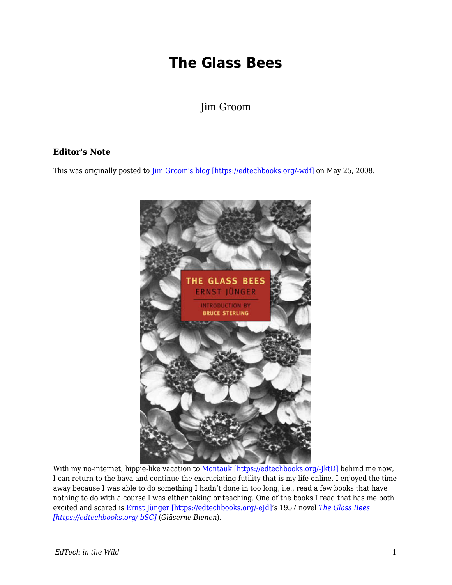## **The Glass Bees**

Jim Groom

## **Editor's Note**

This was originally posted to [Jim Groom's blog \[https://edtechbooks.org/-wdf\]](https://bavatuesdays.com/the-glass-bees/) on May 25, 2008.



With my no-internet, hippie-like vacation to [Montauk \[https://edtechbooks.org/-JktD\]](http://en.wikipedia.org/wiki/Montauk,%20New%20York) behind me now, I can return to the bava and continue the excruciating futility that is my life online. I enjoyed the time away because I was able to do something I hadn't done in too long, i.e., read a few books that have nothing to do with a course I was either taking or teaching. One of the books I read that has me both excited and scared is [Ernst Jünger \[https://edtechbooks.org/-eJd\]'](http://en.wikipedia.org/wiki/Ernst%20J%C3%BCnger)s 1957 novel *[The Glass Bees](http://en.wikipedia.org/wiki/The%20Glass%20Bees) [\[https://edtechbooks.org/-bSC\]](http://en.wikipedia.org/wiki/The%20Glass%20Bees)* (*Gläserne Bienen*).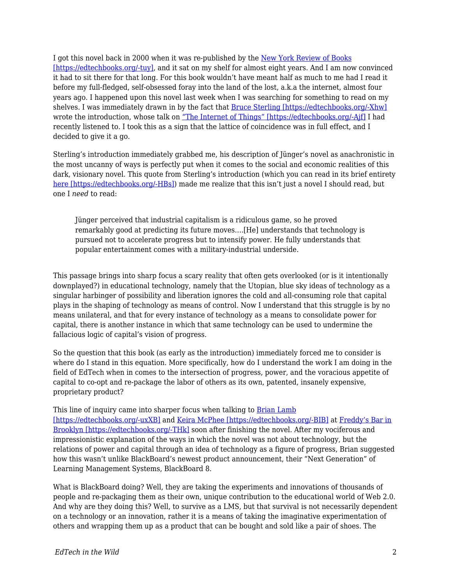I got this novel back in 2000 when it was re-published by the [New York Review of Books](http://www.nybooks.com/shop/product?product_id=9) [\[https://edtechbooks.org/-tuy\],](http://www.nybooks.com/shop/product?product_id=9) and it sat on my shelf for almost eight years. And I am now convinced it had to sit there for that long. For this book wouldn't have meant half as much to me had I read it before my full-fledged, self-obsessed foray into the land of the lost, a.k.a the internet, almost four years ago. I happened upon this novel last week when I was searching for something to read on my shelves. I was immediately drawn in by the fact that [Bruce Sterling \[https://edtechbooks.org/-Xhw\]](http://en.wikipedia.org/wiki/Bruce%20Sterling) wrote the introduction, whose talk on ["The Internet of Things" \[https://edtechbooks.org/-Ajf\]](http://itc.conversationsnetwork.org/shows/detail717.html) I had recently listened to. I took this as a sign that the lattice of coincidence was in full effect, and I decided to give it a go.

Sterling's introduction immediately grabbed me, his description of Jünger's novel as anachronistic in the most uncanny of ways is perfectly put when it comes to the social and economic realities of this dark, visionary novel. This quote from Sterling's introduction (which you can read in its brief entirety [here \[https://edtechbooks.org/-HBs\]](http://www.nybooks.com/shop/product-file/09/theg9/introduction.pdf)) made me realize that this isn't just a novel I should read, but one I *need* to read:

Jünger perceived that industrial capitalism is a ridiculous game, so he proved remarkably good at predicting its future moves….[He] understands that technology is pursued not to accelerate progress but to intensify power. He fully understands that popular entertainment comes with a military-industrial underside.

This passage brings into sharp focus a scary reality that often gets overlooked (or is it intentionally downplayed?) in educational technology, namely that the Utopian, blue sky ideas of technology as a singular harbinger of possibility and liberation ignores the cold and all-consuming role that capital plays in the shaping of technology as means of control. Now I understand that this struggle is by no means unilateral, and that for every instance of technology as a means to consolidate power for capital, there is another instance in which that same technology can be used to undermine the fallacious logic of capital's vision of progress.

So the question that this book (as early as the introduction) immediately forced me to consider is where do I stand in this equation. More specifically, how do I understand the work I am doing in the field of EdTech when in comes to the intersection of progress, power, and the voracious appetite of capital to co-opt and re-package the labor of others as its own, patented, insanely expensive, proprietary product?

This line of inquiry came into sharper focus when talking to **[Brian Lamb](http://weblogs.elearning.ubc.ca/brian/)** [\[https://edtechbooks.org/-uxXB\]](http://weblogs.elearning.ubc.ca/brian/) and [Keira McPhee \[https://edtechbooks.org/-BIB\]](http://tothequick.wordpress.com/) at [Freddy's Bar in](http://www.freddysbackroom.com/) [Brooklyn \[https://edtechbooks.org/-THk\]](http://www.freddysbackroom.com/) soon after finishing the novel. After my vociferous and impressionistic explanation of the ways in which the novel was not about technology, but the relations of power and capital through an idea of technology as a figure of progress, Brian suggested how this wasn't unlike BlackBoard's newest product announcement, their "Next Generation" of Learning Management Systems, BlackBoard 8.

What is BlackBoard doing? Well, they are taking the experiments and innovations of thousands of people and re-packaging them as their own, unique contribution to the educational world of Web 2.0. And why are they doing this? Well, to survive as a LMS, but that survival is not necessarily dependent on a technology or an innovation, rather it is a means of taking the imaginative experimentation of others and wrapping them up as a product that can be bought and sold like a pair of shoes. The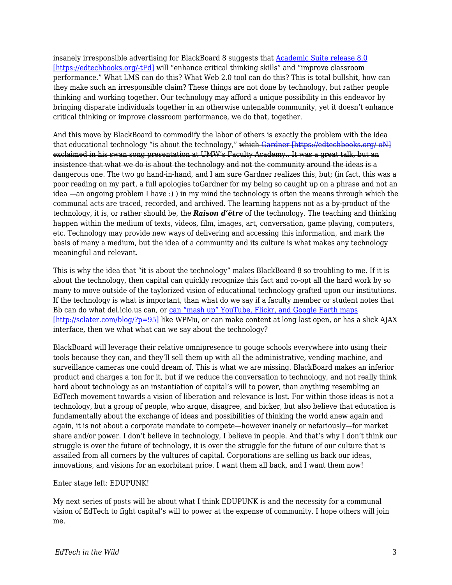insanely irresponsible advertising for BlackBoard 8 suggests that [Academic Suite release 8.0](http://www.blackboard.com/release8/) [\[https://edtechbooks.org/-tFd\]](http://www.blackboard.com/release8/) will "enhance critical thinking skills" and "improve classroom performance." What LMS can do this? What Web 2.0 tool can do this? This is total bullshit, how can they make such an irresponsible claim? These things are not done by technology, but rather people thinking and working together. Our technology may afford a unique possibility in this endeavor by bringing disparate individuals together in an otherwise untenable community, yet it doesn't enhance critical thinking or improve classroom performance, we do that, together.

And this move by BlackBoard to commodify the labor of others is exactly the problem with the idea that educational technology "is about the technology," which [Gardner \[https://edtechbooks.org/-oN\]](http://gardnercampbell.net/blog1) exclaimed in his swan song presentation at UMW's Faculty Academy.. It was a great talk, but an insistence that what we do is about the technology and not the community around the ideas is a dangerous one. The two go hand-in-hand, and I am sure Gardner realizes this, but; (in fact, this was a poor reading on my part, a full apologies toGardner for my being so caught up on a phrase and not an idea —an ongoing problem I have :) ) in my mind the technology is often the means through which the communal acts are traced, recorded, and archived. The learning happens not as a by-product of the technology, it is, or rather should be, the *Raison d'être* of the technology. The teaching and thinking happen within the medium of texts, videos, film, images, art, conversation, game playing, computers, etc. Technology may provide new ways of delivering and accessing this information, and mark the basis of many a medium, but the idea of a community and its culture is what makes any technology meaningful and relevant.

This is why the idea that "it is about the technology" makes BlackBoard 8 so troubling to me. If it is about the technology, then capital can quickly recognize this fact and co-opt all the hard work by so many to move outside of the taylorized vision of educational technology grafted upon our institutions. If the technology is what is important, than what do we say if a faculty member or student notes that Bb can do what del.icio.us can, or [can "mash up" YouTube, Flickr, and Google Earth maps](http://sclater.com/blog/?p=95) [\[http://sclater.com/blog/?p=95\]](http://sclater.com/blog/?p=95) like WPMu, or can make content at long last open, or has a slick AJAX interface, then we what what can we say about the technology?

BlackBoard will leverage their relative omnipresence to gouge schools everywhere into using their tools because they can, and they'll sell them up with all the administrative, vending machine, and surveillance cameras one could dream of. This is what we are missing. BlackBoard makes an inferior product and charges a ton for it, but if we reduce the conversation to technology, and not really think hard about technology as an instantiation of capital's will to power, than anything resembling an EdTech movement towards a vision of liberation and relevance is lost. For within those ideas is not a technology, but a group of people, who argue, disagree, and bicker, but also believe that education is fundamentally about the exchange of ideas and possibilities of thinking the world anew again and again, it is not about a corporate mandate to compete—however inanely or nefariously—for market share and/or power. I don't believe in technology, I believe in people. And that's why I don't think our struggle is over the future of technology, it is over the struggle for the future of our culture that is assailed from all corners by the vultures of capital. Corporations are selling us back our ideas, innovations, and visions for an exorbitant price. I want them all back, and I want them now!

## Enter stage left: EDUPUNK!

My next series of posts will be about what I think EDUPUNK is and the necessity for a communal vision of EdTech to fight capital's will to power at the expense of community. I hope others will join me.